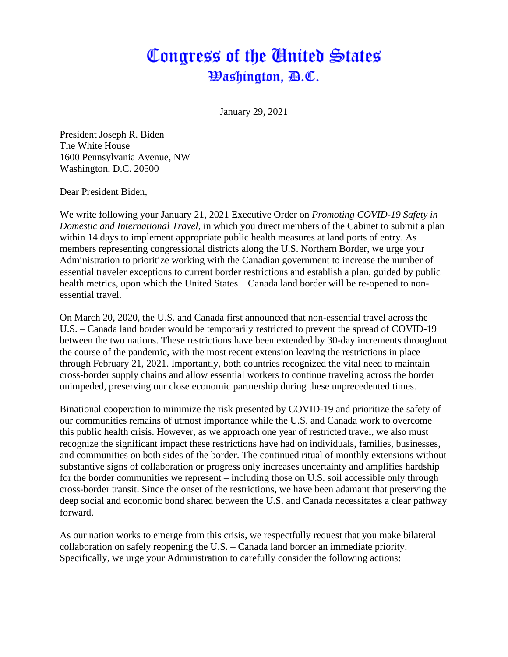# Congress of the United States Washington, *D.C.*

January 29, 2021

President Joseph R. Biden The White House 1600 Pennsylvania Avenue, NW Washington, D.C. 20500

Dear President Biden,

We write following your January 21, 2021 Executive Order on *Promoting COVID-19 Safety in Domestic and International Travel*, in which you direct members of the Cabinet to submit a plan within 14 days to implement appropriate public health measures at land ports of entry. As members representing congressional districts along the U.S. Northern Border, we urge your Administration to prioritize working with the Canadian government to increase the number of essential traveler exceptions to current border restrictions and establish a plan, guided by public health metrics, upon which the United States – Canada land border will be re-opened to nonessential travel.

On March 20, 2020, the U.S. and Canada first announced that non-essential travel across the U.S. – Canada land border would be temporarily restricted to prevent the spread of COVID-19 between the two nations. These restrictions have been extended by 30-day increments throughout the course of the pandemic, with the most recent extension leaving the restrictions in place through February 21, 2021. Importantly, both countries recognized the vital need to maintain cross-border supply chains and allow essential workers to continue traveling across the border unimpeded, preserving our close economic partnership during these unprecedented times.

Binational cooperation to minimize the risk presented by COVID-19 and prioritize the safety of our communities remains of utmost importance while the U.S. and Canada work to overcome this public health crisis. However, as we approach one year of restricted travel, we also must recognize the significant impact these restrictions have had on individuals, families, businesses, and communities on both sides of the border. The continued ritual of monthly extensions without substantive signs of collaboration or progress only increases uncertainty and amplifies hardship for the border communities we represent – including those on U.S. soil accessible only through cross-border transit. Since the onset of the restrictions, we have been adamant that preserving the deep social and economic bond shared between the U.S. and Canada necessitates a clear pathway forward.

As our nation works to emerge from this crisis, we respectfully request that you make bilateral collaboration on safely reopening the U.S. – Canada land border an immediate priority. Specifically, we urge your Administration to carefully consider the following actions: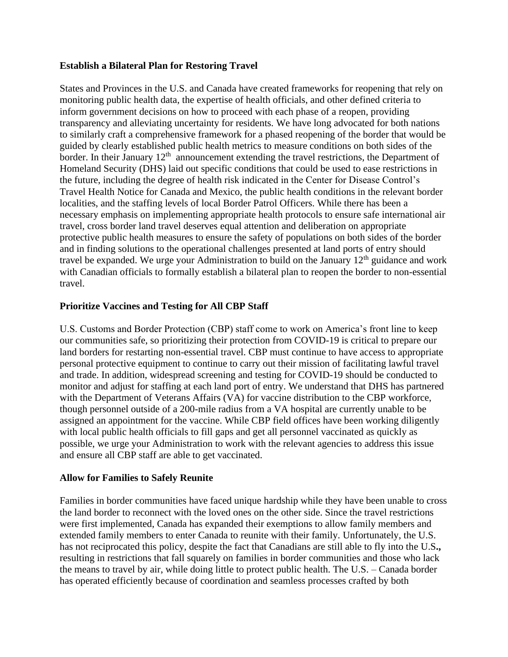### **Establish a Bilateral Plan for Restoring Travel**

States and Provinces in the U.S. and Canada have created frameworks for reopening that rely on monitoring public health data, the expertise of health officials, and other defined criteria to inform government decisions on how to proceed with each phase of a reopen, providing transparency and alleviating uncertainty for residents. We have long advocated for both nations to similarly craft a comprehensive framework for a phased reopening of the border that would be guided by clearly established public health metrics to measure conditions on both sides of the border. In their January  $12<sup>th</sup>$  announcement extending the travel restrictions, the Department of Homeland Security (DHS) laid out specific conditions that could be used to ease restrictions in the future, including the degree of health risk indicated in the Center for Disease Control's Travel Health Notice for Canada and Mexico, the public health conditions in the relevant border localities, and the staffing levels of local Border Patrol Officers. While there has been a necessary emphasis on implementing appropriate health protocols to ensure safe international air travel, cross border land travel deserves equal attention and deliberation on appropriate protective public health measures to ensure the safety of populations on both sides of the border and in finding solutions to the operational challenges presented at land ports of entry should travel be expanded. We urge your Administration to build on the January  $12<sup>th</sup>$  guidance and work with Canadian officials to formally establish a bilateral plan to reopen the border to non-essential travel.

## **Prioritize Vaccines and Testing for All CBP Staff**

U.S. Customs and Border Protection (CBP) staff come to work on America's front line to keep our communities safe, so prioritizing their protection from COVID-19 is critical to prepare our land borders for restarting non-essential travel. CBP must continue to have access to appropriate personal protective equipment to continue to carry out their mission of facilitating lawful travel and trade. In addition, widespread screening and testing for COVID-19 should be conducted to monitor and adjust for staffing at each land port of entry. We understand that DHS has partnered with the Department of Veterans Affairs (VA) for vaccine distribution to the CBP workforce, though personnel outside of a 200-mile radius from a VA hospital are currently unable to be assigned an appointment for the vaccine. While CBP field offices have been working diligently with local public health officials to fill gaps and get all personnel vaccinated as quickly as possible, we urge your Administration to work with the relevant agencies to address this issue and ensure all CBP staff are able to get vaccinated.

## **Allow for Families to Safely Reunite**

Families in border communities have faced unique hardship while they have been unable to cross the land border to reconnect with the loved ones on the other side. Since the travel restrictions were first implemented, Canada has expanded their exemptions to allow family members and extended family members to enter Canada to reunite with their family. Unfortunately, the U.S. has not reciprocated this policy, despite the fact that Canadians are still able to fly into the U.S**.,**  resulting in restrictions that fall squarely on families in border communities and those who lack the means to travel by air, while doing little to protect public health. The U.S. – Canada border has operated efficiently because of coordination and seamless processes crafted by both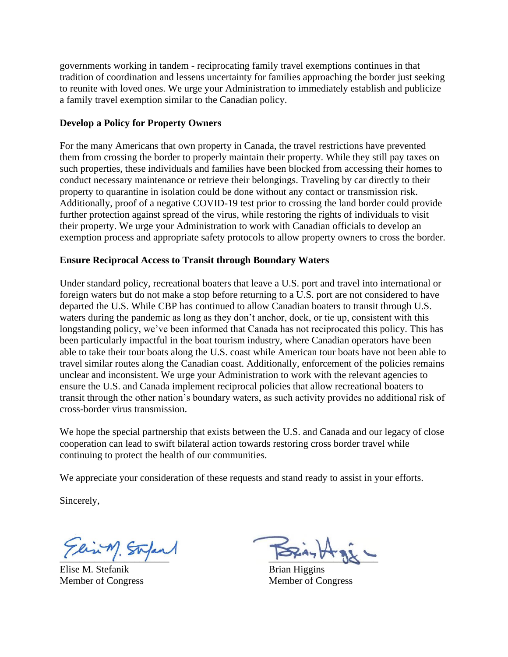governments working in tandem - reciprocating family travel exemptions continues in that tradition of coordination and lessens uncertainty for families approaching the border just seeking to reunite with loved ones. We urge your Administration to immediately establish and publicize a family travel exemption similar to the Canadian policy.

### **Develop a Policy for Property Owners**

For the many Americans that own property in Canada, the travel restrictions have prevented them from crossing the border to properly maintain their property. While they still pay taxes on such properties, these individuals and families have been blocked from accessing their homes to conduct necessary maintenance or retrieve their belongings. Traveling by car directly to their property to quarantine in isolation could be done without any contact or transmission risk. Additionally, proof of a negative COVID-19 test prior to crossing the land border could provide further protection against spread of the virus, while restoring the rights of individuals to visit their property. We urge your Administration to work with Canadian officials to develop an exemption process and appropriate safety protocols to allow property owners to cross the border.

#### **Ensure Reciprocal Access to Transit through Boundary Waters**

Under standard policy, recreational boaters that leave a U.S. port and travel into international or foreign waters but do not make a stop before returning to a U.S. port are not considered to have departed the U.S. While CBP has continued to allow Canadian boaters to transit through U.S. waters during the pandemic as long as they don't anchor, dock, or tie up, consistent with this longstanding policy, we've been informed that Canada has not reciprocated this policy. This has been particularly impactful in the boat tourism industry, where Canadian operators have been able to take their tour boats along the U.S. coast while American tour boats have not been able to travel similar routes along the Canadian coast. Additionally, enforcement of the policies remains unclear and inconsistent. We urge your Administration to work with the relevant agencies to ensure the U.S. and Canada implement reciprocal policies that allow recreational boaters to transit through the other nation's boundary waters, as such activity provides no additional risk of cross-border virus transmission.

We hope the special partnership that exists between the U.S. and Canada and our legacy of close cooperation can lead to swift bilateral action towards restoring cross border travel while continuing to protect the health of our communities.

We appreciate your consideration of these requests and stand ready to assist in your efforts.

Sincerely,

Tlin M. Stepan

Elise M. Stefanik Member of Congress

 $-28 - 0$ 

Brian Higgins Member of Congress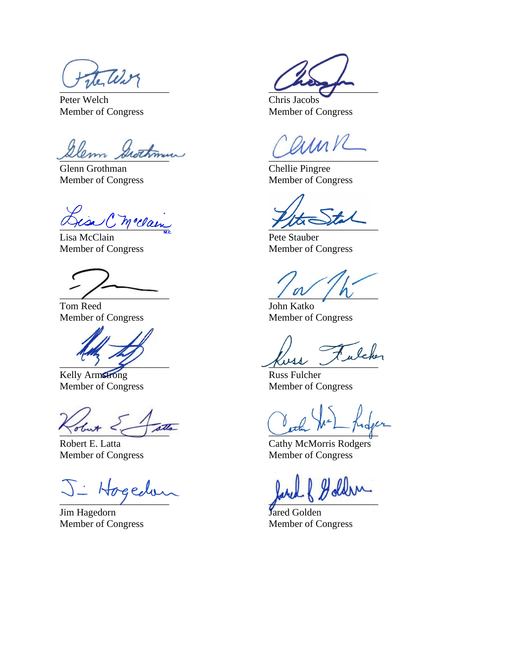$\cup$   $\sim$ 

Peter Welch Member of Congress

lem Grothme

Glenn Grothman Member of Congress

)<br>Hisa C Melan

Lisa McClain Member of Congress

 $\overline{\phantom{a}}$ 

Tom Reed Member of Congress

 $\sim$  )  $\sim$ 

Kelly Armstrong Member of Congress

\_\_\_\_\_\_\_\_\_\_\_\_\_\_\_\_\_\_\_\_\_\_

Robert E. Latta Member of Congress

echs  $\overline{\phantom{a}}$ 

Jim Hagedorn Member of Congress

 $\overline{a}$ 

Chris Jacobs Member of Congress

 $\overline{\phantom{a}}$ 

Chellie Pingree Member of Congress

 $\frac{1}{100}$ 

Pete Stauber Member of Congress

 $\sqrt{v}$ 

John Katko Member of Congress

luss Fulcher

Russ Fulcher Member of Congress

 $\frac{1}{\sqrt{2}}$ 

Cathy McMorris Rodgers Member of Congress

 $\int_{\mathbb{R}^n}$ 

Jared Golden Member of Congress